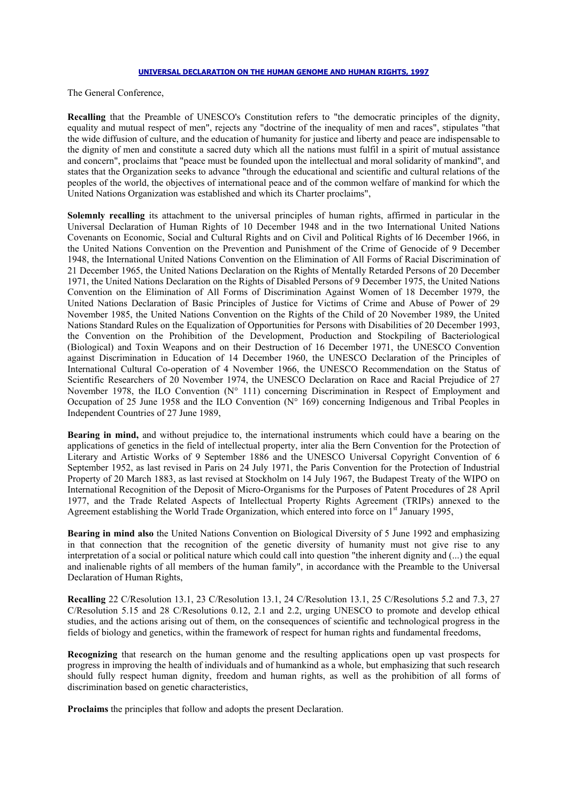#### **UNIVERSAL DECLARATION ON THE HUMAN GENOME AND HUMAN RIGHTS, 1997**

The General Conference,

**Recalling** that the Preamble of UNESCO's Constitution refers to "the democratic principles of the dignity, equality and mutual respect of men", rejects any "doctrine of the inequality of men and races", stipulates "that the wide diffusion of culture, and the education of humanity for justice and liberty and peace are indispensable to the dignity of men and constitute a sacred duty which all the nations must fulfil in a spirit of mutual assistance and concern", proclaims that "peace must be founded upon the intellectual and moral solidarity of mankind", and states that the Organization seeks to advance "through the educational and scientific and cultural relations of the peoples of the world, the objectives of international peace and of the common welfare of mankind for which the United Nations Organization was established and which its Charter proclaims",

**Solemnly recalling** its attachment to the universal principles of human rights, affirmed in particular in the Universal Declaration of Human Rights of 10 December 1948 and in the two International United Nations Covenants on Economic, Social and Cultural Rights and on Civil and Political Rights of l6 December 1966, in the United Nations Convention on the Prevention and Punishment of the Crime of Genocide of 9 December 1948, the International United Nations Convention on the Elimination of All Forms of Racial Discrimination of 21 December 1965, the United Nations Declaration on the Rights of Mentally Retarded Persons of 20 December 1971, the United Nations Declaration on the Rights of Disabled Persons of 9 December 1975, the United Nations Convention on the Elimination of All Forms of Discrimination Against Women of 18 December 1979, the United Nations Declaration of Basic Principles of Justice for Victims of Crime and Abuse of Power of 29 November 1985, the United Nations Convention on the Rights of the Child of 20 November 1989, the United Nations Standard Rules on the Equalization of Opportunities for Persons with Disabilities of 20 December 1993, the Convention on the Prohibition of the Development, Production and Stockpiling of Bacteriological (Biological) and Toxin Weapons and on their Destruction of 16 December 1971, the UNESCO Convention against Discrimination in Education of 14 December 1960, the UNESCO Declaration of the Principles of International Cultural Co-operation of 4 November 1966, the UNESCO Recommendation on the Status of Scientific Researchers of 20 November 1974, the UNESCO Declaration on Race and Racial Prejudice of 27 November 1978, the ILO Convention (N° 111) concerning Discrimination in Respect of Employment and Occupation of 25 June 1958 and the ILO Convention (N° 169) concerning Indigenous and Tribal Peoples in Independent Countries of 27 June 1989,

**Bearing in mind,** and without prejudice to, the international instruments which could have a bearing on the applications of genetics in the field of intellectual property, inter alia the Bern Convention for the Protection of Literary and Artistic Works of 9 September 1886 and the UNESCO Universal Copyright Convention of 6 September 1952, as last revised in Paris on 24 July 1971, the Paris Convention for the Protection of Industrial Property of 20 March 1883, as last revised at Stockholm on 14 July 1967, the Budapest Treaty of the WIPO on International Recognition of the Deposit of Micro-Organisms for the Purposes of Patent Procedures of 28 April 1977, and the Trade Related Aspects of Intellectual Property Rights Agreement (TRIPs) annexed to the Agreement establishing the World Trade Organization, which entered into force on  $1<sup>st</sup>$  January 1995,

**Bearing in mind also** the United Nations Convention on Biological Diversity of 5 June 1992 and emphasizing in that connection that the recognition of the genetic diversity of humanity must not give rise to any interpretation of a social or political nature which could call into question "the inherent dignity and (...) the equal and inalienable rights of all members of the human family", in accordance with the Preamble to the Universal Declaration of Human Rights,

**Recalling** 22 C/Resolution 13.1, 23 C/Resolution 13.1, 24 C/Resolution 13.1, 25 C/Resolutions 5.2 and 7.3, 27 C/Resolution 5.15 and 28 C/Resolutions 0.12, 2.1 and 2.2, urging UNESCO to promote and develop ethical studies, and the actions arising out of them, on the consequences of scientific and technological progress in the fields of biology and genetics, within the framework of respect for human rights and fundamental freedoms,

**Recognizing** that research on the human genome and the resulting applications open up vast prospects for progress in improving the health of individuals and of humankind as a whole, but emphasizing that such research should fully respect human dignity, freedom and human rights, as well as the prohibition of all forms of discrimination based on genetic characteristics,

**Proclaims** the principles that follow and adopts the present Declaration.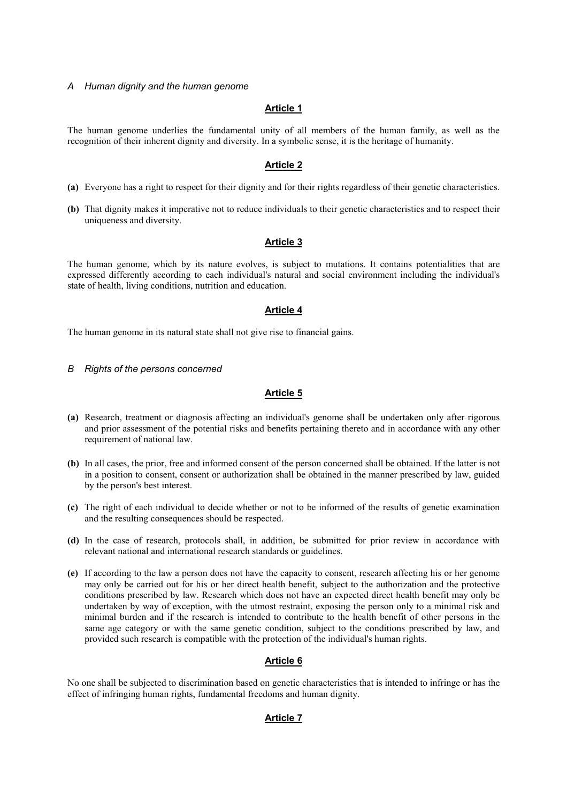#### *A Human dignity and the human genome*

## **Article 1**

The human genome underlies the fundamental unity of all members of the human family, as well as the recognition of their inherent dignity and diversity. In a symbolic sense, it is the heritage of humanity.

#### **Article 2**

- **(a)** Everyone has a right to respect for their dignity and for their rights regardless of their genetic characteristics.
- **(b)** That dignity makes it imperative not to reduce individuals to their genetic characteristics and to respect their uniqueness and diversity.

## **Article 3**

The human genome, which by its nature evolves, is subject to mutations. It contains potentialities that are expressed differently according to each individual's natural and social environment including the individual's state of health, living conditions, nutrition and education.

#### **Article 4**

The human genome in its natural state shall not give rise to financial gains.

*B Rights of the persons concerned*

## **Article 5**

- **(a)** Research, treatment or diagnosis affecting an individual's genome shall be undertaken only after rigorous and prior assessment of the potential risks and benefits pertaining thereto and in accordance with any other requirement of national law.
- **(b)** In all cases, the prior, free and informed consent of the person concerned shall be obtained. If the latter is not in a position to consent, consent or authorization shall be obtained in the manner prescribed by law, guided by the person's best interest.
- **(c)** The right of each individual to decide whether or not to be informed of the results of genetic examination and the resulting consequences should be respected.
- **(d)** In the case of research, protocols shall, in addition, be submitted for prior review in accordance with relevant national and international research standards or guidelines.
- **(e)** If according to the law a person does not have the capacity to consent, research affecting his or her genome may only be carried out for his or her direct health benefit, subject to the authorization and the protective conditions prescribed by law. Research which does not have an expected direct health benefit may only be undertaken by way of exception, with the utmost restraint, exposing the person only to a minimal risk and minimal burden and if the research is intended to contribute to the health benefit of other persons in the same age category or with the same genetic condition, subject to the conditions prescribed by law, and provided such research is compatible with the protection of the individual's human rights.

## **Article 6**

No one shall be subjected to discrimination based on genetic characteristics that is intended to infringe or has the effect of infringing human rights, fundamental freedoms and human dignity.

## **Article 7**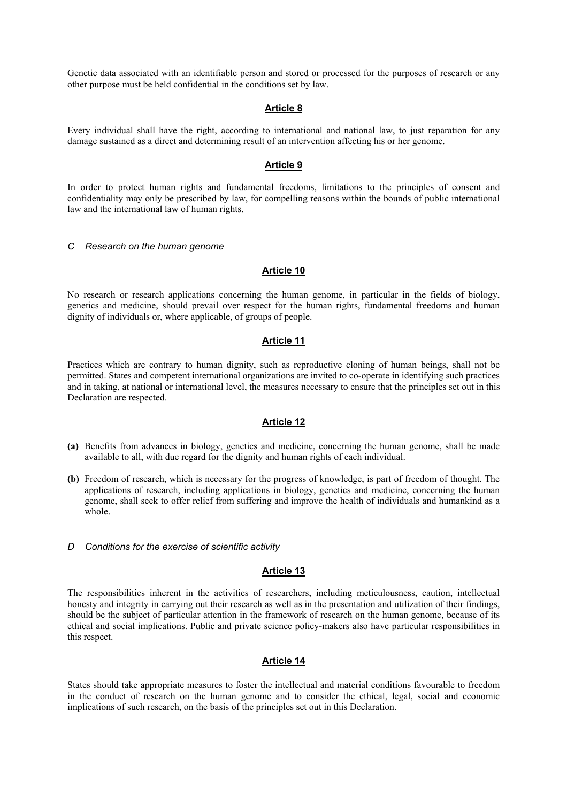Genetic data associated with an identifiable person and stored or processed for the purposes of research or any other purpose must be held confidential in the conditions set by law.

#### **Article 8**

Every individual shall have the right, according to international and national law, to just reparation for any damage sustained as a direct and determining result of an intervention affecting his or her genome.

#### **Article 9**

In order to protect human rights and fundamental freedoms, limitations to the principles of consent and confidentiality may only be prescribed by law, for compelling reasons within the bounds of public international law and the international law of human rights.

#### *C Research on the human genome*

## **Article 10**

No research or research applications concerning the human genome, in particular in the fields of biology, genetics and medicine, should prevail over respect for the human rights, fundamental freedoms and human dignity of individuals or, where applicable, of groups of people.

#### **Article 11**

Practices which are contrary to human dignity, such as reproductive cloning of human beings, shall not be permitted. States and competent international organizations are invited to co-operate in identifying such practices and in taking, at national or international level, the measures necessary to ensure that the principles set out in this Declaration are respected.

## **Article 12**

- **(a)** Benefits from advances in biology, genetics and medicine, concerning the human genome, shall be made available to all, with due regard for the dignity and human rights of each individual.
- **(b)** Freedom of research, which is necessary for the progress of knowledge, is part of freedom of thought. The applications of research, including applications in biology, genetics and medicine, concerning the human genome, shall seek to offer relief from suffering and improve the health of individuals and humankind as a whole.
- *D Conditions for the exercise of scientific activity*

#### **Article 13**

The responsibilities inherent in the activities of researchers, including meticulousness, caution, intellectual honesty and integrity in carrying out their research as well as in the presentation and utilization of their findings, should be the subject of particular attention in the framework of research on the human genome, because of its ethical and social implications. Public and private science policy-makers also have particular responsibilities in this respect.

## **Article 14**

States should take appropriate measures to foster the intellectual and material conditions favourable to freedom in the conduct of research on the human genome and to consider the ethical, legal, social and economic implications of such research, on the basis of the principles set out in this Declaration.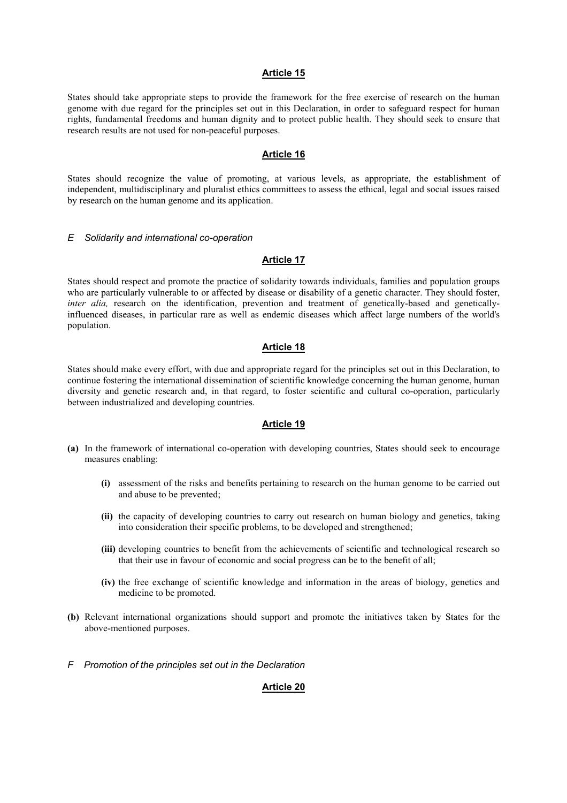## **Article 15**

States should take appropriate steps to provide the framework for the free exercise of research on the human genome with due regard for the principles set out in this Declaration, in order to safeguard respect for human rights, fundamental freedoms and human dignity and to protect public health. They should seek to ensure that research results are not used for non-peaceful purposes.

# **Article 16**

States should recognize the value of promoting, at various levels, as appropriate, the establishment of independent, multidisciplinary and pluralist ethics committees to assess the ethical, legal and social issues raised by research on the human genome and its application.

#### *E Solidarity and international co-operation*

## **Article 17**

States should respect and promote the practice of solidarity towards individuals, families and population groups who are particularly vulnerable to or affected by disease or disability of a genetic character. They should foster, *inter alia,* research on the identification, prevention and treatment of genetically-based and geneticallyinfluenced diseases, in particular rare as well as endemic diseases which affect large numbers of the world's population.

#### **Article 18**

States should make every effort, with due and appropriate regard for the principles set out in this Declaration, to continue fostering the international dissemination of scientific knowledge concerning the human genome, human diversity and genetic research and, in that regard, to foster scientific and cultural co-operation, particularly between industrialized and developing countries.

## **Article 19**

- **(a)** In the framework of international co-operation with developing countries, States should seek to encourage measures enabling:
	- **(i)** assessment of the risks and benefits pertaining to research on the human genome to be carried out and abuse to be prevented;
	- **(ii)** the capacity of developing countries to carry out research on human biology and genetics, taking into consideration their specific problems, to be developed and strengthened;
	- **(iii)** developing countries to benefit from the achievements of scientific and technological research so that their use in favour of economic and social progress can be to the benefit of all;
	- **(iv)** the free exchange of scientific knowledge and information in the areas of biology, genetics and medicine to be promoted.
- **(b)** Relevant international organizations should support and promote the initiatives taken by States for the above-mentioned purposes.
- *F Promotion of the principles set out in the Declaration*

#### **Article 20**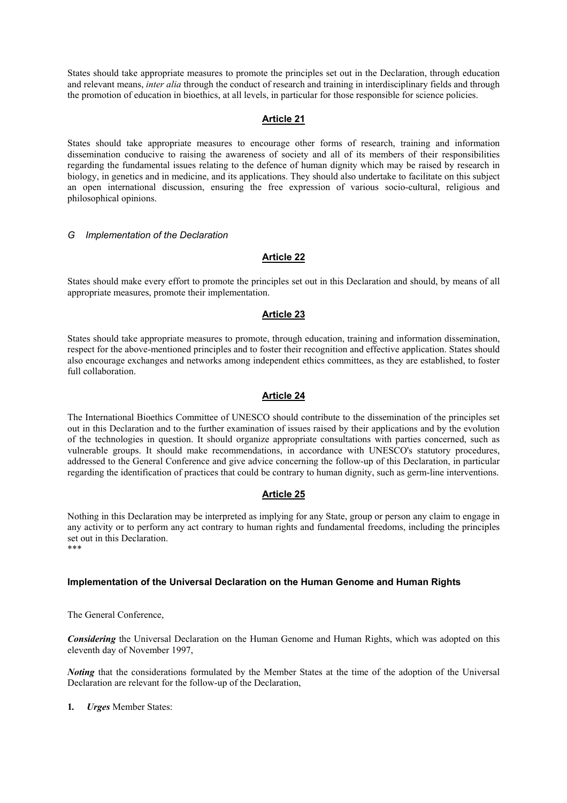States should take appropriate measures to promote the principles set out in the Declaration, through education and relevant means, *inter alia* through the conduct of research and training in interdisciplinary fields and through the promotion of education in bioethics, at all levels, in particular for those responsible for science policies.

## **Article 21**

States should take appropriate measures to encourage other forms of research, training and information dissemination conducive to raising the awareness of society and all of its members of their responsibilities regarding the fundamental issues relating to the defence of human dignity which may be raised by research in biology, in genetics and in medicine, and its applications. They should also undertake to facilitate on this subject an open international discussion, ensuring the free expression of various socio-cultural, religious and philosophical opinions.

## *G Implementation of the Declaration*

# **Article 22**

States should make every effort to promote the principles set out in this Declaration and should, by means of all appropriate measures, promote their implementation.

## **Article 23**

States should take appropriate measures to promote, through education, training and information dissemination, respect for the above-mentioned principles and to foster their recognition and effective application. States should also encourage exchanges and networks among independent ethics committees, as they are established, to foster full collaboration.

## **Article 24**

The International Bioethics Committee of UNESCO should contribute to the dissemination of the principles set out in this Declaration and to the further examination of issues raised by their applications and by the evolution of the technologies in question. It should organize appropriate consultations with parties concerned, such as vulnerable groups. It should make recommendations, in accordance with UNESCO's statutory procedures, addressed to the General Conference and give advice concerning the follow-up of this Declaration, in particular regarding the identification of practices that could be contrary to human dignity, such as germ-line interventions.

## **Article 25**

Nothing in this Declaration may be interpreted as implying for any State, group or person any claim to engage in any activity or to perform any act contrary to human rights and fundamental freedoms, including the principles set out in this Declaration.<br>\*\*\*

## **Implementation of the Universal Declaration on the Human Genome and Human Rights**

The General Conference,

*Considering* the Universal Declaration on the Human Genome and Human Rights, which was adopted on this eleventh day of November 1997,

*Noting* that the considerations formulated by the Member States at the time of the adoption of the Universal Declaration are relevant for the follow-up of the Declaration,

**1***. Urges* Member States: